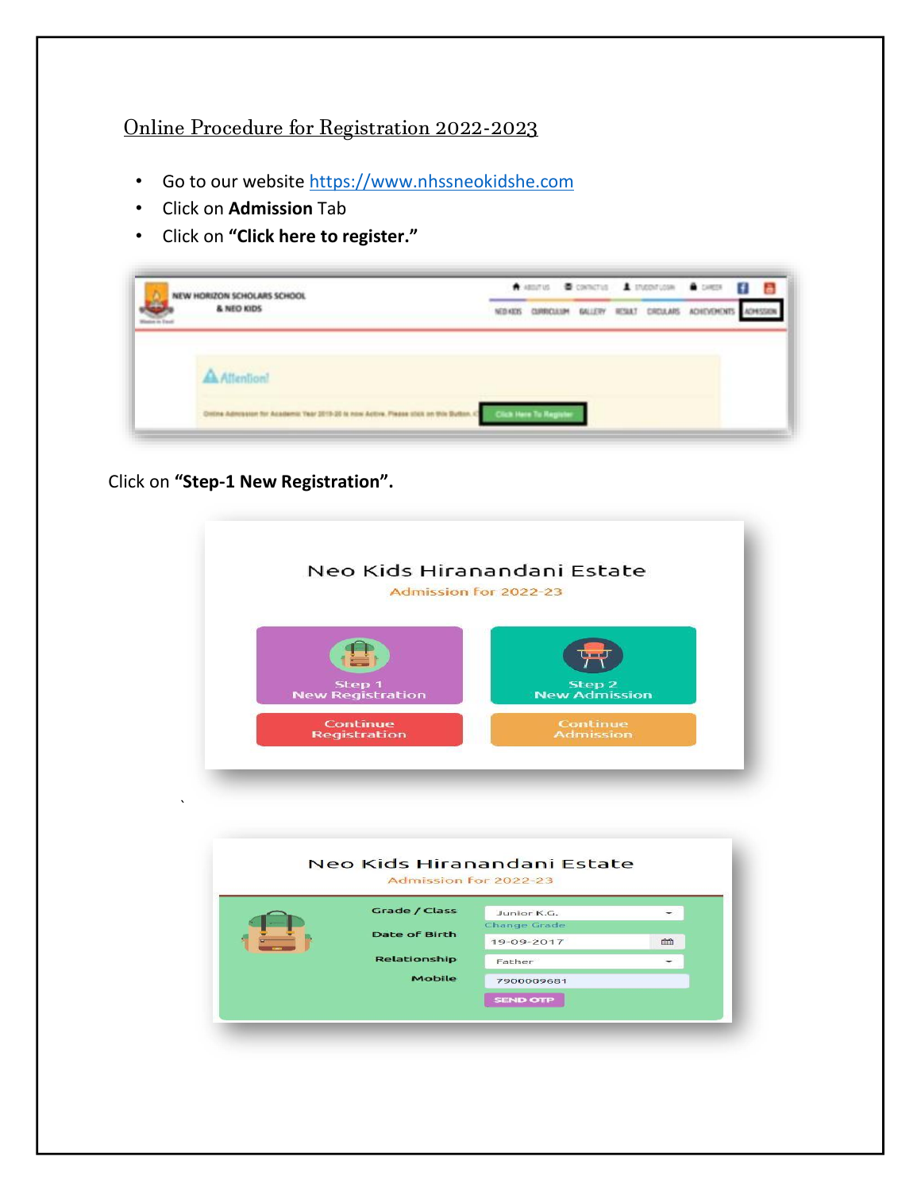## Online Procedure for Registration 2022-2023

- Go to our website [https://www.nhssneokidshe.com](https://www.nhssneokidshe.com/)
- Click on **Admission** Tab
- Click on **"Click here to register."**

| NEW HORIZON SCHOLARS SCHOOL   |            |                |         |              |                | <b>Biston Bondia</b> American Albert El | a |
|-------------------------------|------------|----------------|---------|--------------|----------------|-----------------------------------------|---|
| & NEO KIDS                    | NEED KICKS | CLIREDCLA LIPE | GALLERY | <b>RCSAT</b> | <b>CROJARS</b> | <b>ACHIEVEMENT</b>                      |   |
| Affredings                    |            |                |         |              |                |                                         |   |
| HONA Administer for Academic! |            |                |         |              |                |                                         |   |

Click on **"Step-1 New Registration".**



|  |               | Admission for 2022-23 |   |
|--|---------------|-----------------------|---|
|  | Grade / Class | Junior K.G.           |   |
|  |               | <b>Change Grade</b>   |   |
|  | Date of Birth | 19-09-2017            | 命 |
|  | Relationship  | Father                |   |
|  | Mobile        | 7900009681            |   |
|  |               | <b>SEND OTP</b>       |   |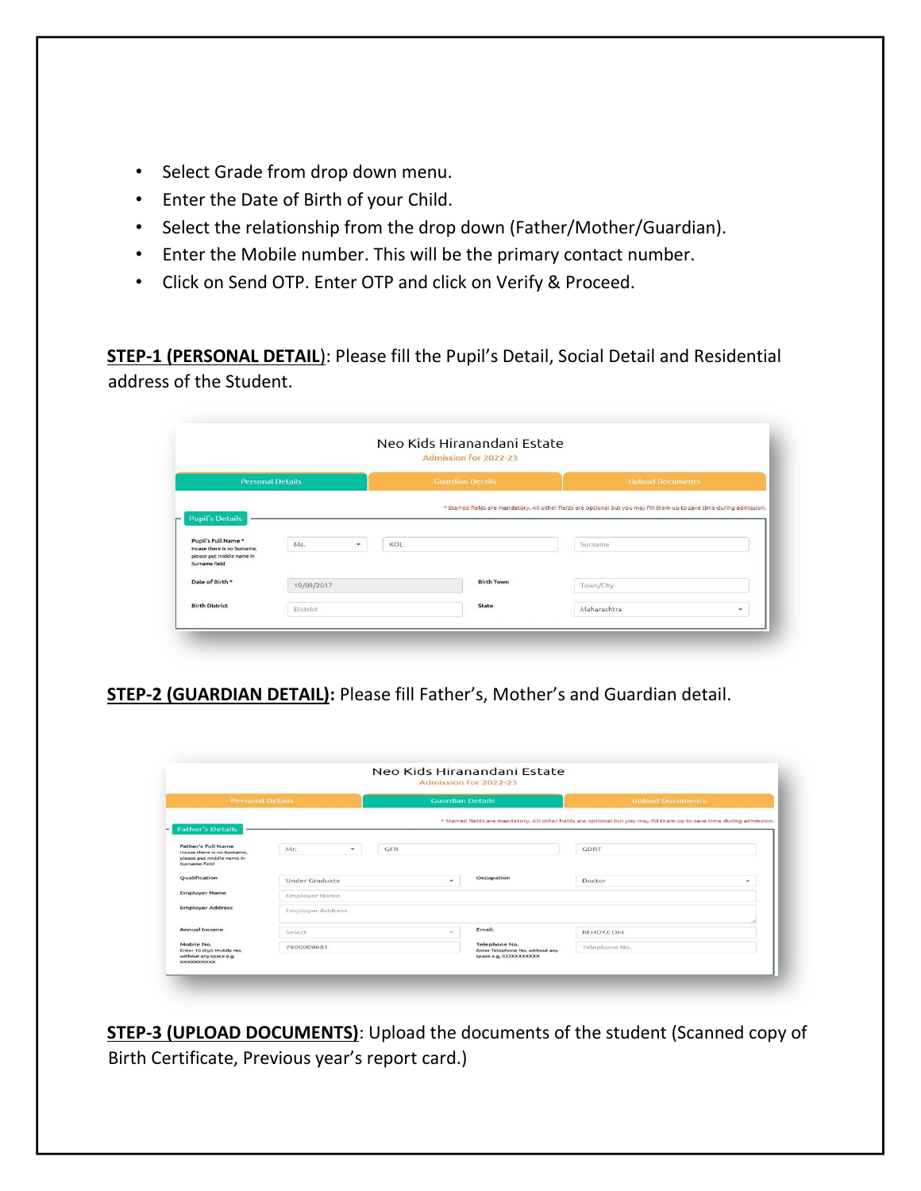- Select Grade from drop down menu.
- Enter the Date of Birth of your Child.
- Select the relationship from the drop down (Father/Mother/Guardian).
- Enter the Mobile number. This will be the primary contact number.
- Click on Send OTP. Enter OTP and click on Verify & Proceed.

**STEP-1 (PERSONAL DETAIL**): Please fill the Pupil's Detail, Social Detail and Residential address of the Student.

|                                                                                                  |                                 |     | Admission for 2022-23   |                                                                                                                       |   |
|--------------------------------------------------------------------------------------------------|---------------------------------|-----|-------------------------|-----------------------------------------------------------------------------------------------------------------------|---|
| <b>Personal Details</b>                                                                          |                                 |     | <b>Guardian Details</b> | <b>Upload Documents</b>                                                                                               |   |
| <b>Pupil's Details</b>                                                                           |                                 |     |                         | * Starred fields are mandatory. All other fields are optional but you may fill them up to save time during admission. |   |
| Pupil's Full Name *<br>Incase there is no Surname.<br>please put middle name in<br>Surname field | Ms.<br>$\overline{\phantom{a}}$ | KOL |                         | Surname                                                                                                               |   |
| Date of Birth *                                                                                  | 19/09/2017                      |     | <b>Birth Town</b>       | Town/City                                                                                                             |   |
| <b>Birth District</b>                                                                            | District                        |     | State                   | Maharashtra                                                                                                           | ۰ |

**STEP-2 (GUARDIAN DETAIL):** Please fill Father's, Mother's and Guardian detail.

|                                                                                                        |                                 |                         | Neo Kids Hiranandani Estate<br>Admission for 2022-23                       |                                                                                                                       |
|--------------------------------------------------------------------------------------------------------|---------------------------------|-------------------------|----------------------------------------------------------------------------|-----------------------------------------------------------------------------------------------------------------------|
| <b>Personal Details</b>                                                                                |                                 | <b>Guardian Details</b> |                                                                            | <b>Upload Documents</b>                                                                                               |
| <b>Father's Details</b>                                                                                |                                 |                         |                                                                            | * Starred fields are mandatory. All other fields are optional but you may fill them up to save time during admission. |
| Father's Full Name<br>Incase there is no Surname.<br>please put middle name in<br><b>Surname field</b> | Mr.<br>$\overline{\phantom{a}}$ | GFR                     |                                                                            | <b>GDRT</b>                                                                                                           |
| Qualification                                                                                          | Under Graduate                  | ۰                       | Occupation                                                                 | Doctor<br>۰                                                                                                           |
| <b>Employer Name</b>                                                                                   | Employer Name                   |                         |                                                                            |                                                                                                                       |
| <b>Employer Address</b>                                                                                | <b>Employer Address</b>         |                         |                                                                            |                                                                                                                       |
| Annual Income                                                                                          | Select                          | ÷                       | Email:                                                                     | REHDY.COM                                                                                                             |
| Mobile No.<br>Enter 10 digit Mobile No.<br>without any space e.g.<br><b>XXXXXXXXXX</b>                 | 7900009681                      |                         | Telephone No.<br>Enter Telephone No, without any<br>space e.g, 022XXXXXXXX | Telephone No.                                                                                                         |

**STEP-3 (UPLOAD DOCUMENTS)**: Upload the documents of the student (Scanned copy of Birth Certificate, Previous year's report card.)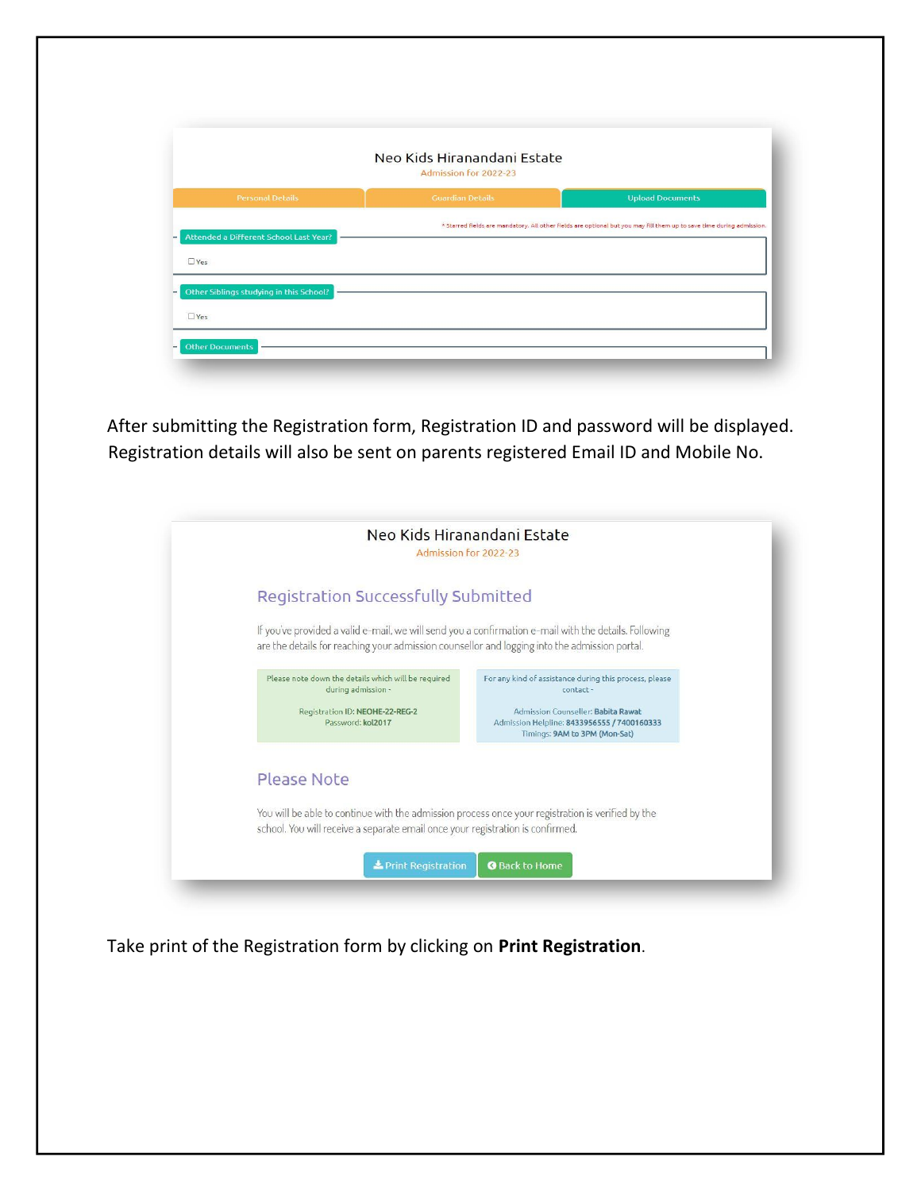|                                                       | Neo Kids Hiranandani Estate<br>Admission for 2022-23 |                                                                                                                       |
|-------------------------------------------------------|------------------------------------------------------|-----------------------------------------------------------------------------------------------------------------------|
| <b>Personal Details</b>                               | <b>Guardian Details</b>                              | <b>Upload Documents</b>                                                                                               |
|                                                       |                                                      | * Starred fields are mandatory. All other fields are optional but you may fill them up to save time during admission. |
| Attended a Different School Last Year?                |                                                      |                                                                                                                       |
| $\Box$ Yes                                            |                                                      |                                                                                                                       |
|                                                       |                                                      |                                                                                                                       |
|                                                       |                                                      |                                                                                                                       |
| Other Siblings studying in this School?<br>$\Box$ Yes |                                                      |                                                                                                                       |

After submitting the Registration form, Registration ID and password will be displayed. Registration details will also be sent on parents registered Email ID and Mobile No.

|                                                                                                                                                                                                        | Neo Kids Hiranandani Estate<br>Admission for 2022-23                                                                                                                                     |
|--------------------------------------------------------------------------------------------------------------------------------------------------------------------------------------------------------|------------------------------------------------------------------------------------------------------------------------------------------------------------------------------------------|
| <b>Registration Successfully Submitted</b>                                                                                                                                                             |                                                                                                                                                                                          |
| If you've provided a valid e-mail, we will send you a confirmation e-mail with the details. Following<br>are the details for reaching your admission counsellor and logging into the admission portal. |                                                                                                                                                                                          |
| Please note down the details which will be required<br>during admission -<br>Registration ID: NEOHE-22-REG-2<br>Password: kol2017                                                                      | For any kind of assistance during this process, please<br>contact-<br>Admission Counseller: Babita Rawat<br>Admission Helpline: 8433956555 / 7400160333<br>Timings: 9AM to 3PM (Mon-Sat) |
| Please Note                                                                                                                                                                                            |                                                                                                                                                                                          |
| You will be able to continue with the admission process once your registration is verified by the<br>school. You will receive a separate email once your registration is confirmed.                    |                                                                                                                                                                                          |
| Print Registration                                                                                                                                                                                     | <b>O</b> Back to Home                                                                                                                                                                    |

Take print of the Registration form by clicking on **Print Registration**.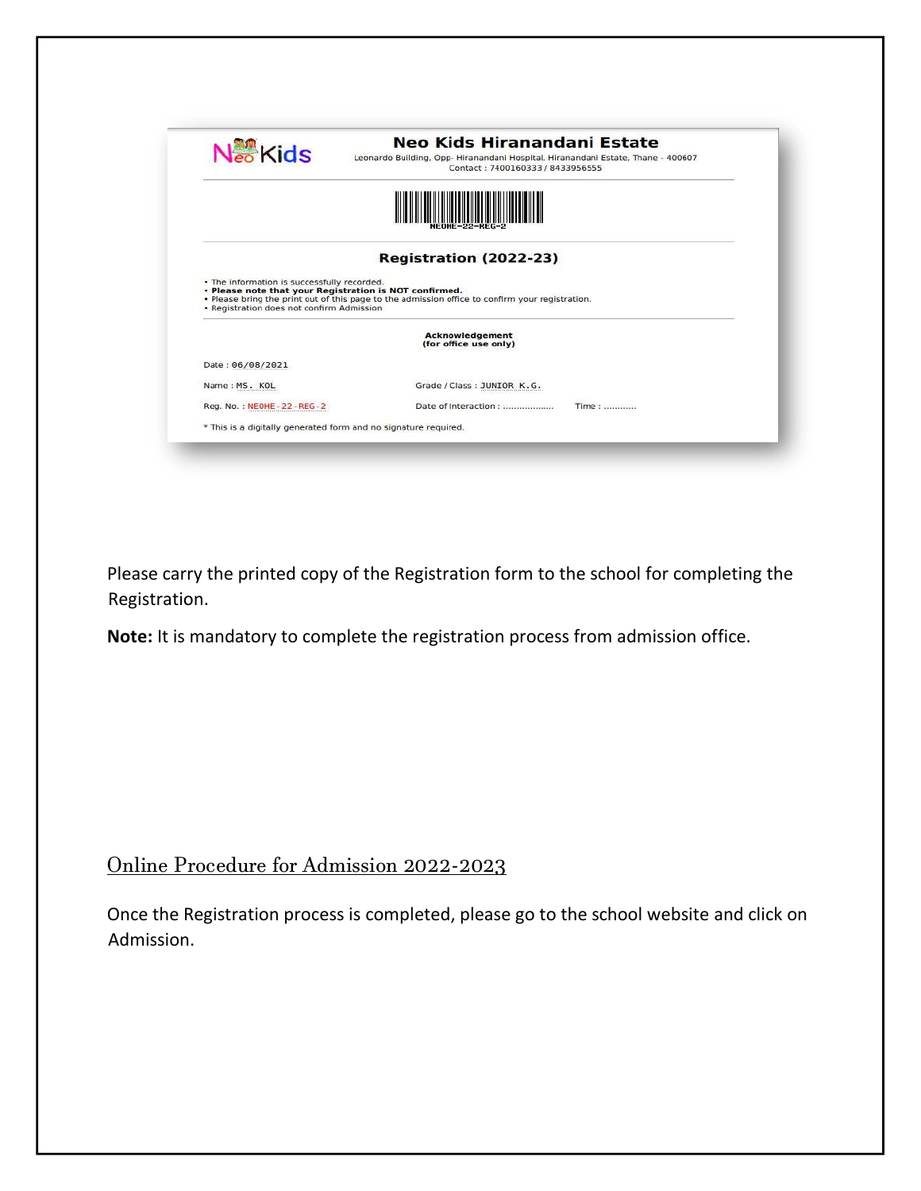| $N_{\infty}^{32}$ Kids                                                                   | Neo Kids Hiranandani Estate<br>Leonardo Building, Opp-Hiranandani Hospital, Hiranandani Estate, Thane - 400607<br>Contact: 7400160333 / 8433956555        |
|------------------------------------------------------------------------------------------|-----------------------------------------------------------------------------------------------------------------------------------------------------------|
|                                                                                          |                                                                                                                                                           |
|                                                                                          |                                                                                                                                                           |
|                                                                                          | Registration (2022-23)                                                                                                                                    |
| • The information is successfully recorded.<br>• Registration does not confirm Admission | . Please note that your Registration is NOT confirmed.<br>. Please bring the print out of this page to the admission office to confirm your registration. |
|                                                                                          | <b>Acknowledgement</b><br>(for office use only)                                                                                                           |
| Date: 06/08/2021                                                                         |                                                                                                                                                           |
| Name: MS. KOL                                                                            | Grade / Class: JUNIOR K.G.                                                                                                                                |
| Reg. No.: NEOHE-22-REG-2                                                                 | Time:<br>Date of Interaction:                                                                                                                             |

Please carry the printed copy of the Registration form to the school for completing the Registration.

**Note:** It is mandatory to complete the registration process from admission office.

## Online Procedure for Admission 2022-2023

Once the Registration process is completed, please go to the school website and click on Admission.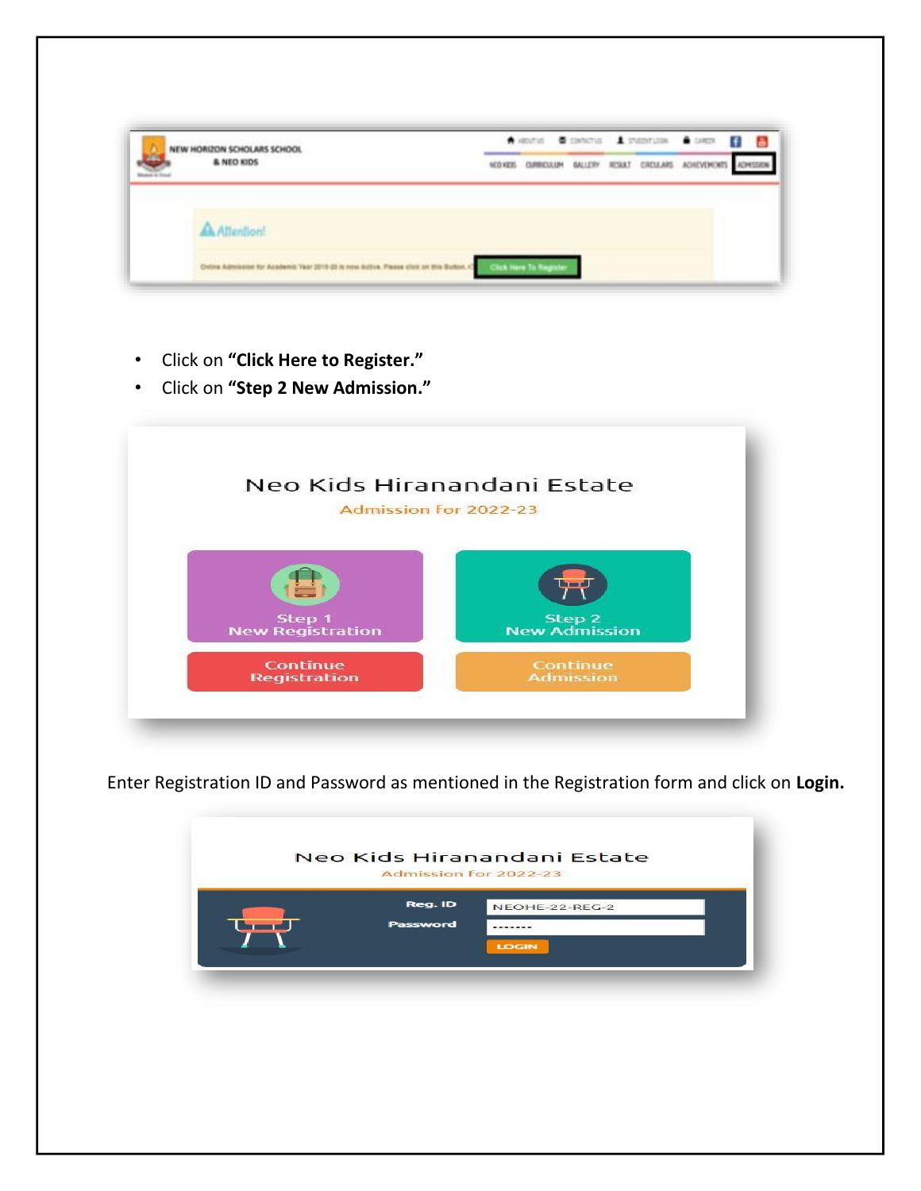| HORIZON SCHOLARS SCHOOL                        |  |  | www. Concu America Com B                            | а |
|------------------------------------------------|--|--|-----------------------------------------------------|---|
| & NEO KIDS                                     |  |  | NONDS DURICULUM GALLERY RESKET CREULARS ACHEVEMENTS |   |
|                                                |  |  |                                                     |   |
| eline Admission for Academic Year 2015-20 is a |  |  |                                                     |   |

- Click on **"Click Here to Register."**
- Click on **"Step 2 New Admission."**



Enter Registration ID and Password as mentioned in the Registration form and click on **Login.** 

| NEOHE-22-REG-2 |
|----------------|
| <b>LOGIN</b>   |
|                |